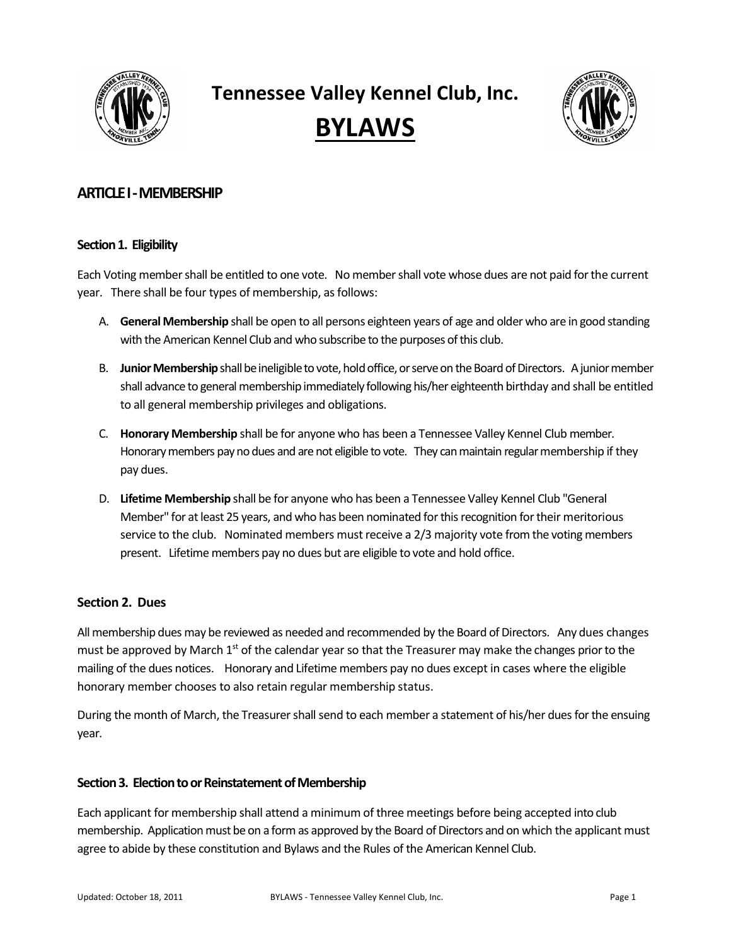

# **Tennessee Valley Kennel Club, Inc. BYLAWS**



# **ARTICLE I -MEMBERSHIP**

### **Section 1. Eligibility**

Each Voting member shall be entitled to one vote. No member shall vote whose dues are not paid for the current year. There shall be four types of membership, as follows:

- A. **General Membership** shall be open to all persons eighteen years of age and older who are in good standing with the American Kennel Club and who subscribe to the purposes of this club.
- B. **Junior Membership**shall be ineligible to vote, hold office, or serve on the Board of Directors. A junior member shall advance to general membership immediately following his/her eighteenth birthday and shall be entitled to all general membership privileges and obligations.
- C. **Honorary Membership** shall be for anyone who has been a Tennessee Valley Kennel Club member. Honorary members pay no dues and are not eligible to vote. They can maintain regular membership if they pay dues.
- D. **Lifetime Membership** shall be for anyone who has been a Tennessee Valley Kennel Club "General Member" for at least 25 years, and who has been nominated for this recognition for their meritorious service to the club. Nominated members must receive a 2/3 majority vote from the voting members present. Lifetime members pay no dues but are eligible to vote and hold office.

### **Section 2. Dues**

All membership dues may be reviewed as needed and recommended by the Board of Directors. Any dues changes must be approved by March  $1<sup>st</sup>$  of the calendar year so that the Treasurer may make the changes prior to the mailing of the dues notices. Honorary and Lifetime members pay no dues except in cases where the eligible honorary member chooses to also retain regular membership status.

During the month of March, the Treasurer shall send to each member a statement of his/her dues for the ensuing year.

### **Section 3. Election to or Reinstatement of Membership**

Each applicant for membership shall attend a minimum of three meetings before being accepted into club membership. Application must be on a form as approved by the Board of Directors and on which the applicant must agree to abide by these constitution and Bylaws and the Rules of the American Kennel Club.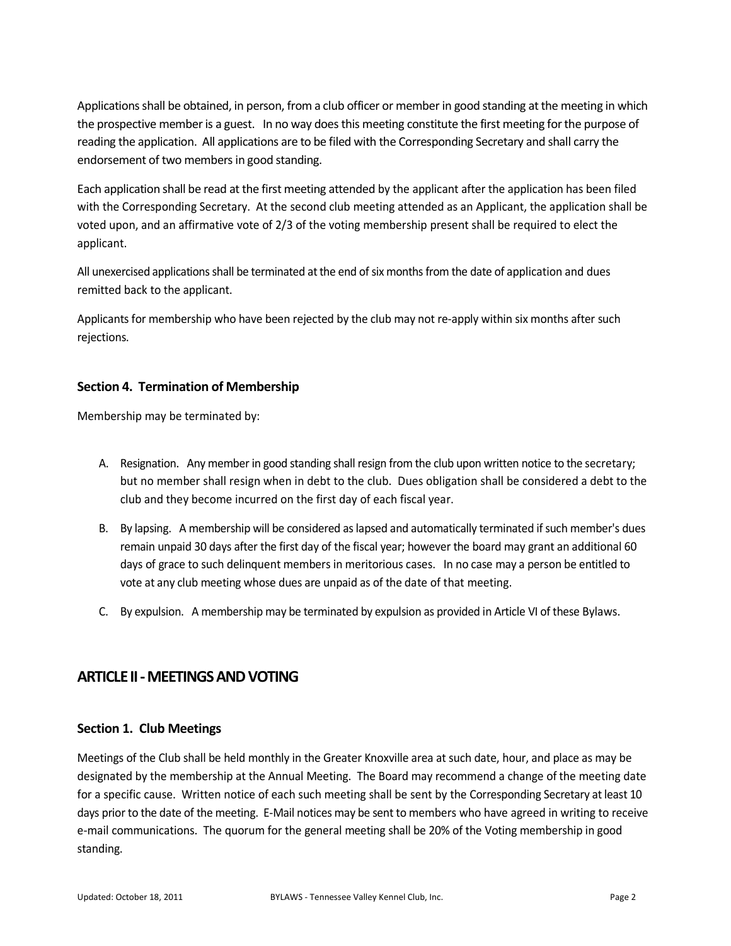Applications shall be obtained, in person, from a club officer or member in good standing at the meeting in which the prospective member is a guest. In no way does this meeting constitute the first meeting for the purpose of reading the application. All applications are to be filed with the Corresponding Secretary and shall carry the endorsement of two members in good standing.

Each application shall be read at the first meeting attended by the applicant after the application has been filed with the Corresponding Secretary. At the second club meeting attended as an Applicant, the application shall be voted upon, and an affirmative vote of 2/3 of the voting membership present shall be required to elect the applicant.

All unexercised applications shall be terminated at the end of six months from the date of application and dues remitted back to the applicant.

Applicants for membership who have been rejected by the club may not re-apply within six months after such rejections.

### **Section 4. Termination of Membership**

Membership may be terminated by:

- A. Resignation. Any member in good standing shall resign from the club upon written notice to the secretary; but no member shall resign when in debt to the club. Dues obligation shall be considered a debt to the club and they become incurred on the first day of each fiscal year.
- B. By lapsing. A membership will be considered as lapsed and automatically terminated if such member's dues remain unpaid 30 days after the first day of the fiscal year; however the board may grant an additional 60 days of grace to such delinquent members in meritorious cases. In no case may a person be entitled to vote at any club meeting whose dues are unpaid as of the date of that meeting.
- C. By expulsion. A membership may be terminated by expulsion as provided in Article VI of these Bylaws.

# **ARTICLE II -MEETINGS AND VOTING**

### **Section 1. Club Meetings**

Meetings of the Club shall be held monthly in the Greater Knoxville area at such date, hour, and place as may be designated by the membership at the Annual Meeting. The Board may recommend a change of the meeting date for a specific cause. Written notice of each such meeting shall be sent by the Corresponding Secretary at least 10 days prior to the date of the meeting. E-Mail notices may be sent to members who have agreed in writing to receive e-mail communications. The quorum for the general meeting shall be 20% of the Voting membership in good standing.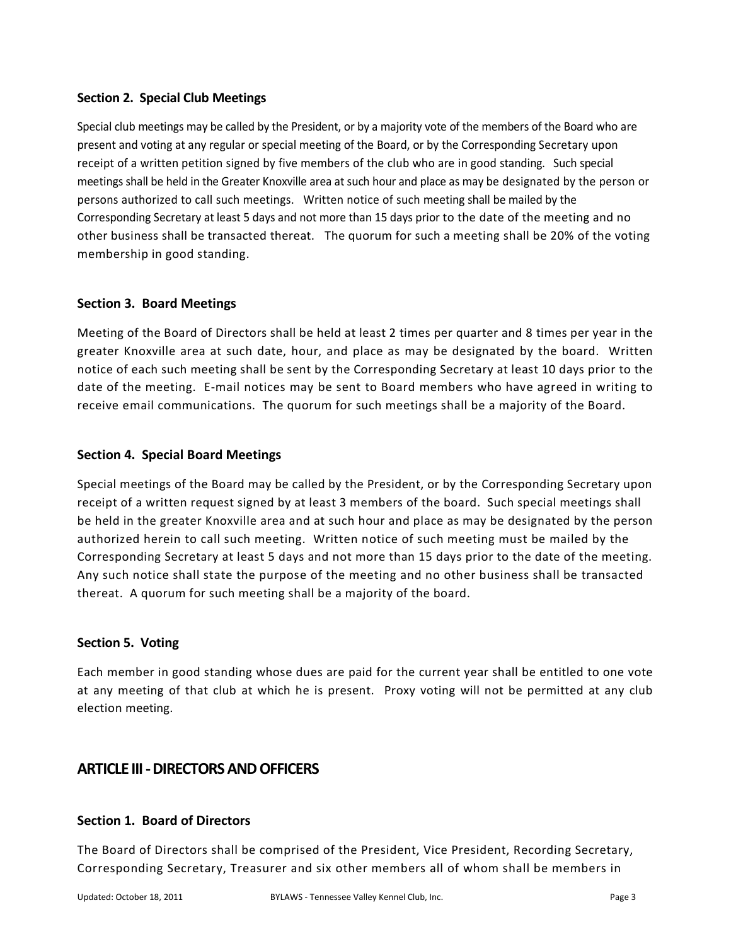### **Section 2. Special Club Meetings**

Special club meetings may be called by the President, or by a majority vote of the members of the Board who are present and voting at any regular or special meeting of the Board, or by the Corresponding Secretary upon receipt of a written petition signed by five members of the club who are in good standing. Such special meetings shall be held in the Greater Knoxville area at such hour and place as may be designated by the person or persons authorized to call such meetings. Written notice of such meeting shall be mailed by the Corresponding Secretary at least 5 days and not more than 15 days prior to the date of the meeting and no other business shall be transacted thereat. The quorum for such a meeting shall be 20% of the voting membership in good standing.

### **Section 3. Board Meetings**

Meeting of the Board of Directors shall be held at least 2 times per quarter and 8 times per year in the greater Knoxville area at such date, hour, and place as may be designated by the board. Written notice of each such meeting shall be sent by the Corresponding Secretary at least 10 days prior to the date of the meeting. E-mail notices may be sent to Board members who have agreed in writing to receive email communications. The quorum for such meetings shall be a majority of the Board.

### **Section 4. Special Board Meetings**

Special meetings of the Board may be called by the President, or by the Corresponding Secretary upon receipt of a written request signed by at least 3 members of the board. Such special meetings shall be held in the greater Knoxville area and at such hour and place as may be designated by the person authorized herein to call such meeting. Written notice of such meeting must be mailed by the Corresponding Secretary at least 5 days and not more than 15 days prior to the date of the meeting. Any such notice shall state the purpose of the meeting and no other business shall be transacted thereat. A quorum for such meeting shall be a majority of the board.

### **Section 5. Voting**

Each member in good standing whose dues are paid for the current year shall be entitled to one vote at any meeting of that club at which he is present. Proxy voting will not be permitted at any club election meeting.

# **ARTICLE III -DIRECTORS AND OFFICERS**

### **Section 1. Board of Directors**

The Board of Directors shall be comprised of the President, Vice President, Recording Secretary, Corresponding Secretary, Treasurer and six other members all of whom shall be members in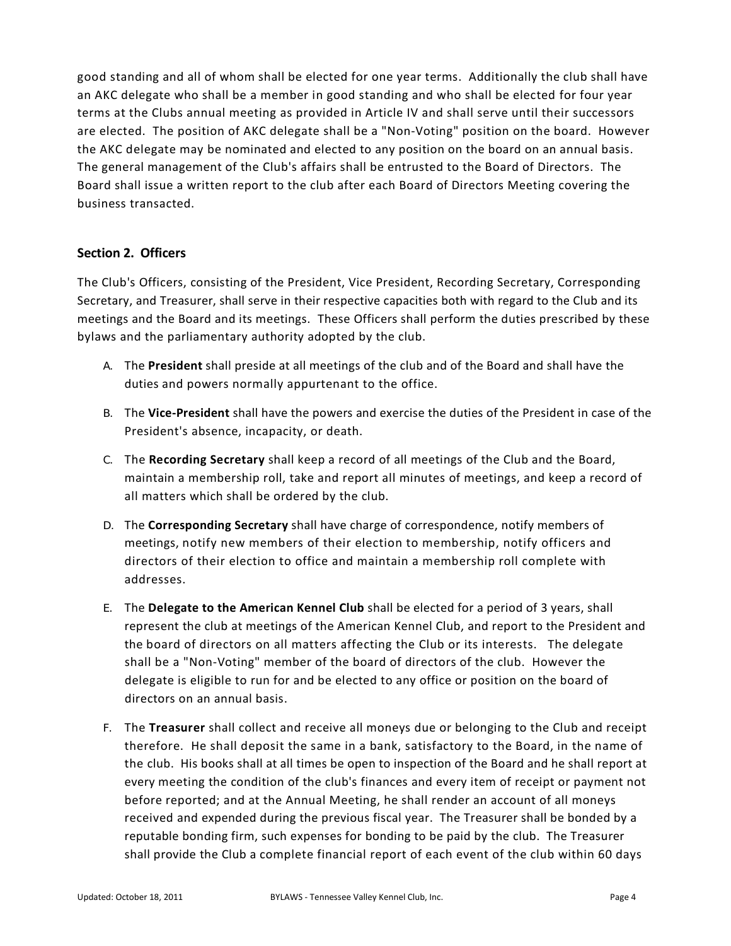good standing and all of whom shall be elected for one year terms. Additionally the club shall have an AKC delegate who shall be a member in good standing and who shall be elected for four year terms at the Clubs annual meeting as provided in Article IV and shall serve until their successors are elected. The position of AKC delegate shall be a "Non-Voting" position on the board. However the AKC delegate may be nominated and elected to any position on the board on an annual basis. The general management of the Club's affairs shall be entrusted to the Board of Directors. The Board shall issue a written report to the club after each Board of Directors Meeting covering the business transacted.

### **Section 2. Officers**

The Club's Officers, consisting of the President, Vice President, Recording Secretary, Corresponding Secretary, and Treasurer, shall serve in their respective capacities both with regard to the Club and its meetings and the Board and its meetings. These Officers shall perform the duties prescribed by these bylaws and the parliamentary authority adopted by the club.

- A. The **President** shall preside at all meetings of the club and of the Board and shall have the duties and powers normally appurtenant to the office.
- B. The **Vice-President** shall have the powers and exercise the duties of the President in case of the President's absence, incapacity, or death.
- C. The **Recording Secretary** shall keep a record of all meetings of the Club and the Board, maintain a membership roll, take and report all minutes of meetings, and keep a record of all matters which shall be ordered by the club.
- D. The **Corresponding Secretary** shall have charge of correspondence, notify members of meetings, notify new members of their election to membership, notify officers and directors of their election to office and maintain a membership roll complete with addresses.
- E. The **Delegate to the American Kennel Club** shall be elected for a period of 3 years, shall represent the club at meetings of the American Kennel Club, and report to the President and the board of directors on all matters affecting the Club or its interests. The delegate shall be a "Non-Voting" member of the board of directors of the club. However the delegate is eligible to run for and be elected to any office or position on the board of directors on an annual basis.
- F. The **Treasurer** shall collect and receive all moneys due or belonging to the Club and receipt therefore. He shall deposit the same in a bank, satisfactory to the Board, in the name of the club. His books shall at all times be open to inspection of the Board and he shall report at every meeting the condition of the club's finances and every item of receipt or payment not before reported; and at the Annual Meeting, he shall render an account of all moneys received and expended during the previous fiscal year. The Treasurer shall be bonded by a reputable bonding firm, such expenses for bonding to be paid by the club. The Treasurer shall provide the Club a complete financial report of each event of the club within 60 days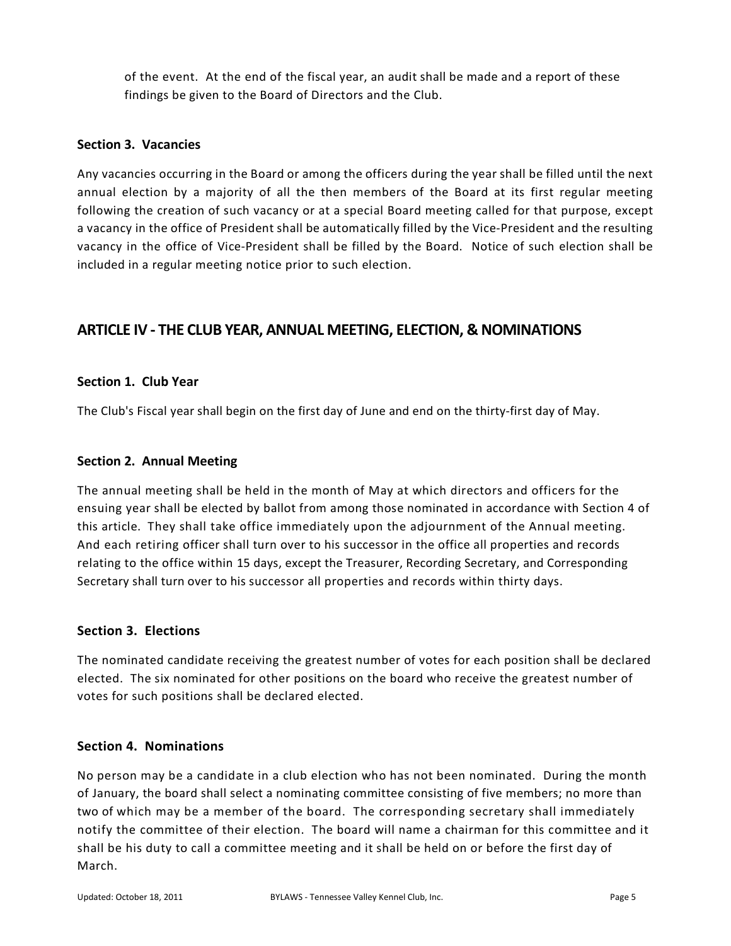of the event. At the end of the fiscal year, an audit shall be made and a report of these findings be given to the Board of Directors and the Club.

### **Section 3. Vacancies**

Any vacancies occurring in the Board or among the officers during the year shall be filled until the next annual election by a majority of all the then members of the Board at its first regular meeting following the creation of such vacancy or at a special Board meeting called for that purpose, except a vacancy in the office of President shall be automatically filled by the Vice-President and the resulting vacancy in the office of Vice-President shall be filled by the Board. Notice of such election shall be included in a regular meeting notice prior to such election.

# **ARTICLE IV - THE CLUB YEAR, ANNUAL MEETING, ELECTION, & NOMINATIONS**

### **Section 1. Club Year**

The Club's Fiscal year shall begin on the first day of June and end on the thirty-first day of May.

### **Section 2. Annual Meeting**

The annual meeting shall be held in the month of May at which directors and officers for the ensuing year shall be elected by ballot from among those nominated in accordance with Section 4 of this article. They shall take office immediately upon the adjournment of the Annual meeting. And each retiring officer shall turn over to his successor in the office all properties and records relating to the office within 15 days, except the Treasurer, Recording Secretary, and Corresponding Secretary shall turn over to his successor all properties and records within thirty days.

### **Section 3. Elections**

The nominated candidate receiving the greatest number of votes for each position shall be declared elected. The six nominated for other positions on the board who receive the greatest number of votes for such positions shall be declared elected.

### **Section 4. Nominations**

No person may be a candidate in a club election who has not been nominated. During the month of January, the board shall select a nominating committee consisting of five members; no more than two of which may be a member of the board. The corresponding secretary shall immediately notify the committee of their election. The board will name a chairman for this committee and it shall be his duty to call a committee meeting and it shall be held on or before the first day of March.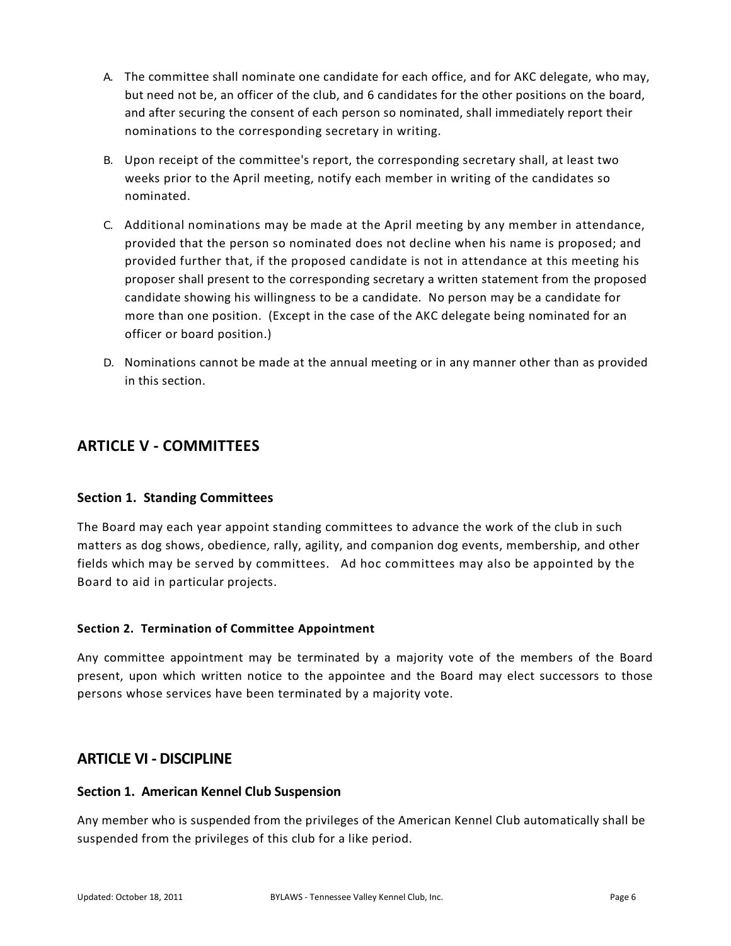- A. The committee shall nominate one candidate for each office, and for AKC delegate, who may, but need not be, an officer of the club, and 6 candidates for the other positions on the board, and after securing the consent of each person so nominated, shall immediately report their nominations to the corresponding secretary in writing.
- B. Upon receipt of the committee's report, the corresponding secretary shall, at least two weeks prior to the April meeting, notify each member in writing of the candidates so nominated.
- C. Additional nominations may be made at the April meeting by any member in attendance, provided that the person so nominated does not decline when his name is proposed; and provided further that, if the proposed candidate is not in attendance at this meeting his proposer shall present to the corresponding secretary a written statement from the proposed candidate showing his willingness to be a candidate. No person may be a candidate for more than one position. (Except in the case of the AKC delegate being nominated for an officer or board position.)
- D. Nominations cannot be made at the annual meeting or in any manner other than as provided in this section.

# **ARTICLE V - COMMITTEES**

### **Section 1. Standing Committees**

The Board may each year appoint standing committees to advance the work of the club in such matters as dog shows, obedience, rally, agility, and companion dog events, membership, and other fields which may be served by committees. Ad hoc committees may also be appointed by the Board to aid in particular projects.

### **Section 2. Termination of Committee Appointment**

Any committee appointment may be terminated by a majority vote of the members of the Board present, upon which written notice to the appointee and the Board may elect successors to those persons whose services have been terminated by a majority vote.

### **ARTICLE VI - DISCIPLINE**

### **Section 1. American Kennel Club Suspension**

Any member who is suspended from the privileges of the American Kennel Club automatically shall be suspended from the privileges of this club for a like period.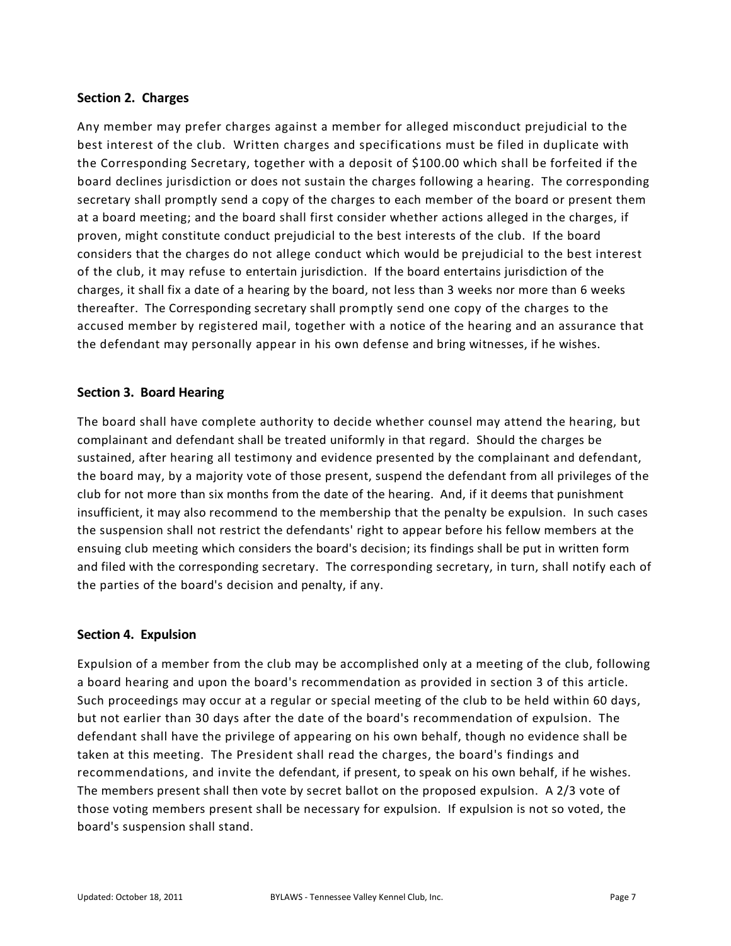### **Section 2. Charges**

Any member may prefer charges against a member for alleged misconduct prejudicial to the best interest of the club. Written charges and specifications must be filed in duplicate with the Corresponding Secretary, together with a deposit of \$100.00 which shall be forfeited if the board declines jurisdiction or does not sustain the charges following a hearing. The corresponding secretary shall promptly send a copy of the charges to each member of the board or present them at a board meeting; and the board shall first consider whether actions alleged in the charges, if proven, might constitute conduct prejudicial to the best interests of the club. If the board considers that the charges do not allege conduct which would be prejudicial to the best interest of the club, it may refuse to entertain jurisdiction. If the board entertains jurisdiction of the charges, it shall fix a date of a hearing by the board, not less than 3 weeks nor more than 6 weeks thereafter. The Corresponding secretary shall promptly send one copy of the charges to the accused member by registered mail, together with a notice of the hearing and an assurance that the defendant may personally appear in his own defense and bring witnesses, if he wishes.

### **Section 3. Board Hearing**

The board shall have complete authority to decide whether counsel may attend the hearing, but complainant and defendant shall be treated uniformly in that regard. Should the charges be sustained, after hearing all testimony and evidence presented by the complainant and defendant, the board may, by a majority vote of those present, suspend the defendant from all privileges of the club for not more than six months from the date of the hearing. And, if it deems that punishment insufficient, it may also recommend to the membership that the penalty be expulsion. In such cases the suspension shall not restrict the defendants' right to appear before his fellow members at the ensuing club meeting which considers the board's decision; its findings shall be put in written form and filed with the corresponding secretary. The corresponding secretary, in turn, shall notify each of the parties of the board's decision and penalty, if any.

### **Section 4. Expulsion**

Expulsion of a member from the club may be accomplished only at a meeting of the club, following a board hearing and upon the board's recommendation as provided in section 3 of this article. Such proceedings may occur at a regular or special meeting of the club to be held within 60 days, but not earlier than 30 days after the date of the board's recommendation of expulsion. The defendant shall have the privilege of appearing on his own behalf, though no evidence shall be taken at this meeting. The President shall read the charges, the board's findings and recommendations, and invite the defendant, if present, to speak on his own behalf, if he wishes. The members present shall then vote by secret ballot on the proposed expulsion. A 2/3 vote of those voting members present shall be necessary for expulsion. If expulsion is not so voted, the board's suspension shall stand.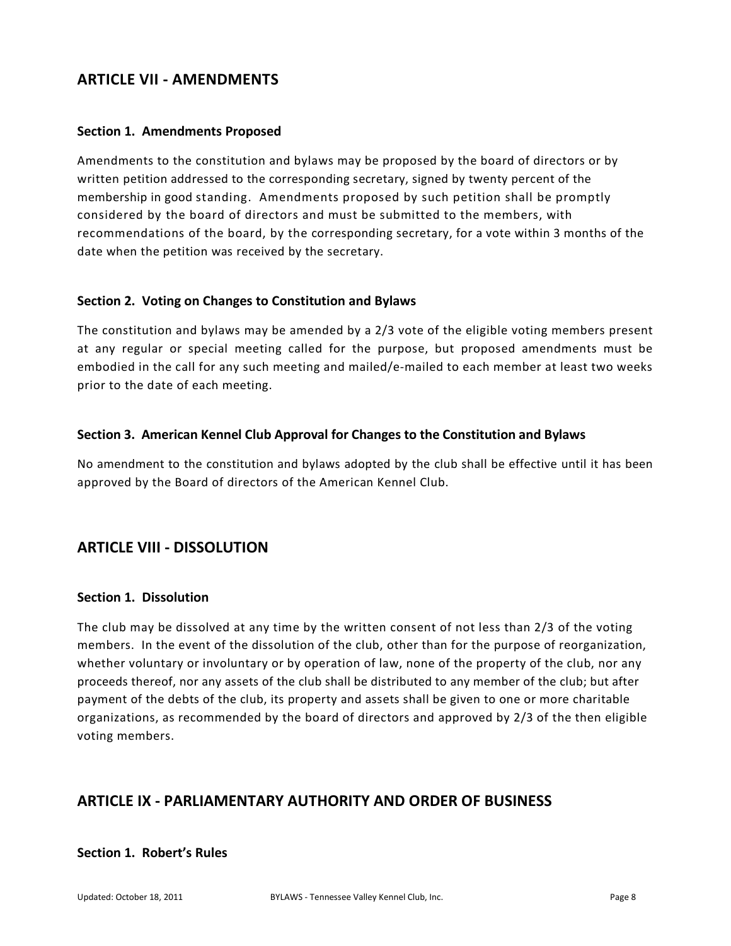# **ARTICLE VII - AMENDMENTS**

### **Section 1. Amendments Proposed**

Amendments to the constitution and bylaws may be proposed by the board of directors or by written petition addressed to the corresponding secretary, signed by twenty percent of the membership in good standing. Amendments proposed by such petition shall be promptly considered by the board of directors and must be submitted to the members, with recommendations of the board, by the corresponding secretary, for a vote within 3 months of the date when the petition was received by the secretary.

### **Section 2. Voting on Changes to Constitution and Bylaws**

The constitution and bylaws may be amended by a 2/3 vote of the eligible voting members present at any regular or special meeting called for the purpose, but proposed amendments must be embodied in the call for any such meeting and mailed/e-mailed to each member at least two weeks prior to the date of each meeting.

### **Section 3. American Kennel Club Approval for Changes to the Constitution and Bylaws**

No amendment to the constitution and bylaws adopted by the club shall be effective until it has been approved by the Board of directors of the American Kennel Club.

# **ARTICLE VIII - DISSOLUTION**

#### **Section 1. Dissolution**

The club may be dissolved at any time by the written consent of not less than 2/3 of the voting members. In the event of the dissolution of the club, other than for the purpose of reorganization, whether voluntary or involuntary or by operation of law, none of the property of the club, nor any proceeds thereof, nor any assets of the club shall be distributed to any member of the club; but after payment of the debts of the club, its property and assets shall be given to one or more charitable organizations, as recommended by the board of directors and approved by 2/3 of the then eligible voting members.

# **ARTICLE IX - PARLIAMENTARY AUTHORITY AND ORDER OF BUSINESS**

### **Section 1. Robert's Rules**